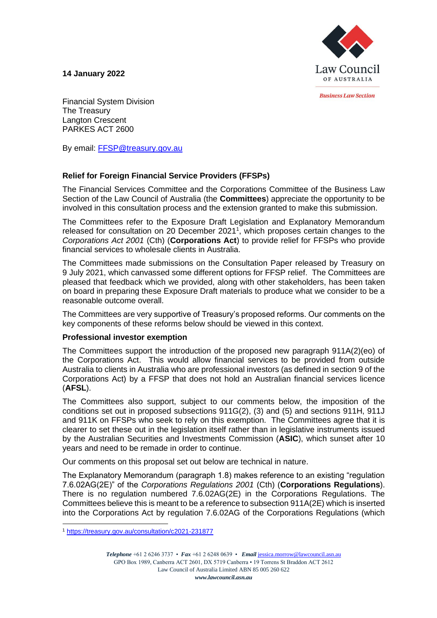**14 January 2022**



*<u>Rusiness Law Section</u>* 

Financial System Division The Treasury Langton Crescent PARKES ACT 2600

By email: [FFSP@treasury.gov.au](mailto:FFSP@treasury.gov.au)

# **Relief for Foreign Financial Service Providers (FFSPs)**

The Financial Services Committee and the Corporations Committee of the Business Law Section of the Law Council of Australia (the **Committees**) appreciate the opportunity to be involved in this consultation process and the extension granted to make this submission.

The Committees refer to the Exposure Draft Legislation and Explanatory Memorandum released for consultation on 20 December 2021<sup>1</sup>, which proposes certain changes to the *Corporations Act 2001* (Cth) (**Corporations Act**) to provide relief for FFSPs who provide financial services to wholesale clients in Australia.

The Committees made submissions on the Consultation Paper released by Treasury on 9 July 2021, which canvassed some different options for FFSP relief. The Committees are pleased that feedback which we provided, along with other stakeholders, has been taken on board in preparing these Exposure Draft materials to produce what we consider to be a reasonable outcome overall.

The Committees are very supportive of Treasury's proposed reforms. Our comments on the key components of these reforms below should be viewed in this context.

# **Professional investor exemption**

The Committees support the introduction of the proposed new paragraph 911A(2)(eo) of the Corporations Act. This would allow financial services to be provided from outside Australia to clients in Australia who are professional investors (as defined in section 9 of the Corporations Act) by a FFSP that does not hold an Australian financial services licence (**AFSL**).

The Committees also support, subject to our comments below, the imposition of the conditions set out in proposed subsections 911G(2), (3) and (5) and sections 911H, 911J and 911K on FFSPs who seek to rely on this exemption. The Committees agree that it is clearer to set these out in the legislation itself rather than in legislative instruments issued by the Australian Securities and Investments Commission (**ASIC**), which sunset after 10 years and need to be remade in order to continue.

Our comments on this proposal set out below are technical in nature.

The Explanatory Memorandum (paragraph 1.8) makes reference to an existing "regulation 7.6.02AG(2E)" of the *Corporations Regulations 2001* (Cth) (**Corporations Regulations**). There is no regulation numbered 7.6.02AG(2E) in the Corporations Regulations. The Committees believe this is meant to be a reference to subsection 911A(2E) which is inserted into the Corporations Act by regulation 7.6.02AG of the Corporations Regulations (which

<sup>1</sup> <https://treasury.gov.au/consultation/c2021-231877>

*Telephone* +61 2 6246 3737 • *Fax* +61 2 6248 0639 • *Email* [jessica.morrow@lawcouncil.asn.au](mailto:jane.bacot-kilpatrick@lawcouncil.asn.au) GPO Box 1989, Canberra ACT 2601, DX 5719 Canberra • 19 Torrens St Braddon ACT 2612 Law Council of Australia Limited ABN 85 005 260 622 *www.lawcouncil.asn.au*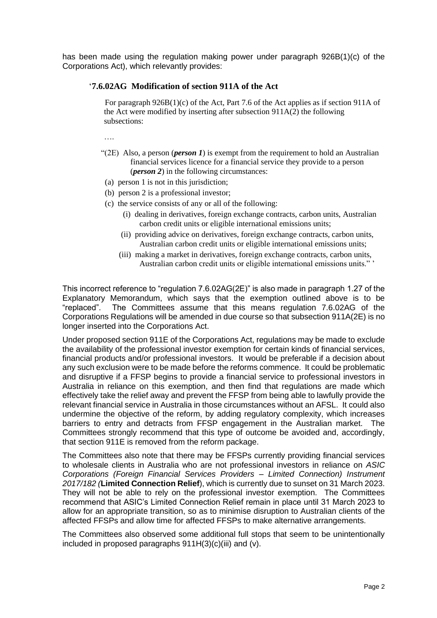has been made using the regulation making power under paragraph 926B(1)(c) of the Corporations Act), which relevantly provides:

# '**7.6.02AG Modification of section 911A of the Act**

 For paragraph 926B(1)(c) of the Act, Part 7.6 of the Act applies as if section 911A of the Act were modified by inserting after subsection 911A(2) the following subsections:

….

- "(2E) Also, a person (*person 1*) is exempt from the requirement to hold an Australian financial services licence for a financial service they provide to a person (*person 2*) in the following circumstances:
- (a) person 1 is not in this jurisdiction;
- (b) person 2 is a professional investor;
- (c) the service consists of any or all of the following:
	- (i) dealing in derivatives, foreign exchange contracts, carbon units, Australian carbon credit units or eligible international emissions units;
	- (ii) providing advice on derivatives, foreign exchange contracts, carbon units, Australian carbon credit units or eligible international emissions units;
	- (iii) making a market in derivatives, foreign exchange contracts, carbon units, Australian carbon credit units or eligible international emissions units." '

This incorrect reference to "regulation 7.6.02AG(2E)" is also made in paragraph 1.27 of the Explanatory Memorandum, which says that the exemption outlined above is to be "replaced". The Committees assume that this means regulation 7.6.02AG of the Corporations Regulations will be amended in due course so that subsection 911A(2E) is no longer inserted into the Corporations Act.

Under proposed section 911E of the Corporations Act, regulations may be made to exclude the availability of the professional investor exemption for certain kinds of financial services, financial products and/or professional investors. It would be preferable if a decision about any such exclusion were to be made before the reforms commence. It could be problematic and disruptive if a FFSP begins to provide a financial service to professional investors in Australia in reliance on this exemption, and then find that regulations are made which effectively take the relief away and prevent the FFSP from being able to lawfully provide the relevant financial service in Australia in those circumstances without an AFSL. It could also undermine the objective of the reform, by adding regulatory complexity, which increases barriers to entry and detracts from FFSP engagement in the Australian market. The Committees strongly recommend that this type of outcome be avoided and, accordingly, that section 911E is removed from the reform package.

The Committees also note that there may be FFSPs currently providing financial services to wholesale clients in Australia who are not professional investors in reliance on *ASIC Corporations (Foreign Financial Services Providers – Limited Connection) Instrument 2017/182 (***Limited Connection Relief**), which is currently due to sunset on 31 March 2023. They will not be able to rely on the professional investor exemption. The Committees recommend that ASIC's Limited Connection Relief remain in place until 31 March 2023 to allow for an appropriate transition, so as to minimise disruption to Australian clients of the affected FFSPs and allow time for affected FFSPs to make alternative arrangements.

The Committees also observed some additional full stops that seem to be unintentionally included in proposed paragraphs 911H(3)(c)(iii) and (v).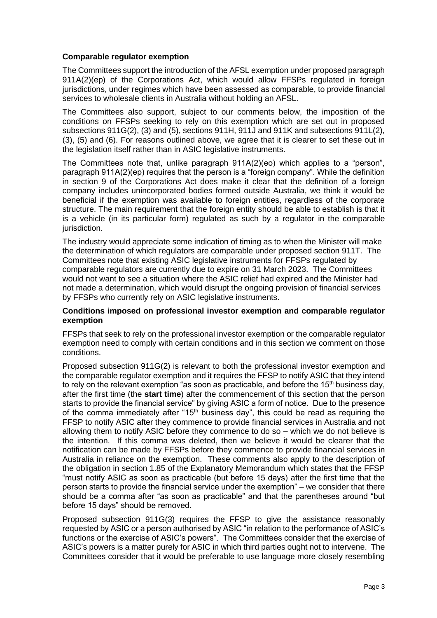# **Comparable regulator exemption**

The Committees support the introduction of the AFSL exemption under proposed paragraph 911A(2)(ep) of the Corporations Act, which would allow FFSPs regulated in foreign jurisdictions, under regimes which have been assessed as comparable, to provide financial services to wholesale clients in Australia without holding an AFSL.

The Committees also support, subject to our comments below, the imposition of the conditions on FFSPs seeking to rely on this exemption which are set out in proposed subsections 911G(2), (3) and (5), sections 911H, 911J and 911K and subsections 911L(2), (3), (5) and (6). For reasons outlined above, we agree that it is clearer to set these out in the legislation itself rather than in ASIC legislative instruments.

The Committees note that, unlike paragraph 911A(2)(eo) which applies to a "person", paragraph 911A(2)(ep) requires that the person is a "foreign company". While the definition in section 9 of the Corporations Act does make it clear that the definition of a foreign company includes unincorporated bodies formed outside Australia, we think it would be beneficial if the exemption was available to foreign entities, regardless of the corporate structure. The main requirement that the foreign entity should be able to establish is that it is a vehicle (in its particular form) regulated as such by a regulator in the comparable jurisdiction.

The industry would appreciate some indication of timing as to when the Minister will make the determination of which regulators are comparable under proposed section 911T. The Committees note that existing ASIC legislative instruments for FFSPs regulated by comparable regulators are currently due to expire on 31 March 2023. The Committees would not want to see a situation where the ASIC relief had expired and the Minister had not made a determination, which would disrupt the ongoing provision of financial services by FFSPs who currently rely on ASIC legislative instruments.

#### **Conditions imposed on professional investor exemption and comparable regulator exemption**

FFSPs that seek to rely on the professional investor exemption or the comparable regulator exemption need to comply with certain conditions and in this section we comment on those conditions.

Proposed subsection 911G(2) is relevant to both the professional investor exemption and the comparable regulator exemption and it requires the FFSP to notify ASIC that they intend to rely on the relevant exemption "as soon as practicable, and before the  $15<sup>th</sup>$  business day, after the first time (the **start time**) after the commencement of this section that the person starts to provide the financial service" by giving ASIC a form of notice. Due to the presence of the comma immediately after "15<sup>th</sup> business day", this could be read as requiring the FFSP to notify ASIC after they commence to provide financial services in Australia and not allowing them to notify ASIC before they commence to do so – which we do not believe is the intention. If this comma was deleted, then we believe it would be clearer that the notification can be made by FFSPs before they commence to provide financial services in Australia in reliance on the exemption. These comments also apply to the description of the obligation in section 1.85 of the Explanatory Memorandum which states that the FFSP "must notify ASIC as soon as practicable (but before 15 days) after the first time that the person starts to provide the financial service under the exemption" – we consider that there should be a comma after "as soon as practicable" and that the parentheses around "but before 15 days" should be removed.

Proposed subsection 911G(3) requires the FFSP to give the assistance reasonably requested by ASIC or a person authorised by ASIC "in relation to the performance of ASIC's functions or the exercise of ASIC's powers". The Committees consider that the exercise of ASIC's powers is a matter purely for ASIC in which third parties ought not to intervene. The Committees consider that it would be preferable to use language more closely resembling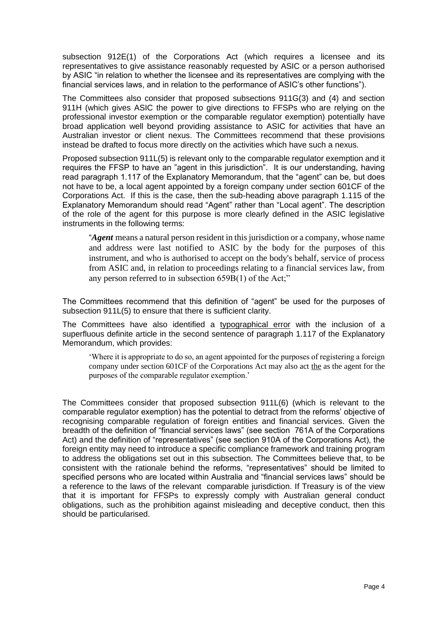subsection 912E(1) of the Corporations Act (which requires a licensee and its representatives to give assistance reasonably requested by ASIC or a person authorised by ASIC "in relation to whether the licensee and its representatives are complying with the financial services laws, and in relation to the performance of ASIC's other functions").

The Committees also consider that proposed subsections 911G(3) and (4) and section 911H (which gives ASIC the power to give directions to FFSPs who are relying on the professional investor exemption or the comparable regulator exemption) potentially have broad application well beyond providing assistance to ASIC for activities that have an Australian investor or client nexus. The Committees recommend that these provisions instead be drafted to focus more directly on the activities which have such a nexus.

Proposed subsection 911L(5) is relevant only to the comparable regulator exemption and it requires the FFSP to have an "agent in this jurisdiction". It is our understanding, having read paragraph 1.117 of the Explanatory Memorandum, that the "agent" can be, but does not have to be, a local agent appointed by a foreign company under section 601CF of the Corporations Act. If this is the case, then the sub-heading above paragraph 1.115 of the Explanatory Memorandum should read "Agent" rather than "Local agent". The description of the role of the agent for this purpose is more clearly defined in the ASIC legislative instruments in the following terms:

"*Agent* means a natural person resident in this jurisdiction or a company, whose name and address were last notified to ASIC by the body for the purposes of this instrument, and who is authorised to accept on the body's behalf, service of process from ASIC and, in relation to proceedings relating to a financial services law, from any person referred to in subsection 659B(1) of the Act;"

The Committees recommend that this definition of "agent" be used for the purposes of subsection 911L(5) to ensure that there is sufficient clarity.

The Committees have also identified a typographical error with the inclusion of a superfluous definite article in the second sentence of paragraph 1.117 of the Explanatory Memorandum, which provides:

'Where it is appropriate to do so, an agent appointed for the purposes of registering a foreign company under section 601CF of the Corporations Act may also act the as the agent for the purposes of the comparable regulator exemption.'

The Committees consider that proposed subsection 911L(6) (which is relevant to the comparable regulator exemption) has the potential to detract from the reforms' objective of recognising comparable regulation of foreign entities and financial services. Given the breadth of the definition of "financial services laws" (see section 761A of the Corporations Act) and the definition of "representatives" (see section 910A of the Corporations Act), the foreign entity may need to introduce a specific compliance framework and training program to address the obligations set out in this subsection. The Committees believe that, to be consistent with the rationale behind the reforms, "representatives" should be limited to specified persons who are located within Australia and "financial services laws" should be a reference to the laws of the relevant comparable jurisdiction. If Treasury is of the view that it is important for FFSPs to expressly comply with Australian general conduct obligations, such as the prohibition against misleading and deceptive conduct, then this should be particularised.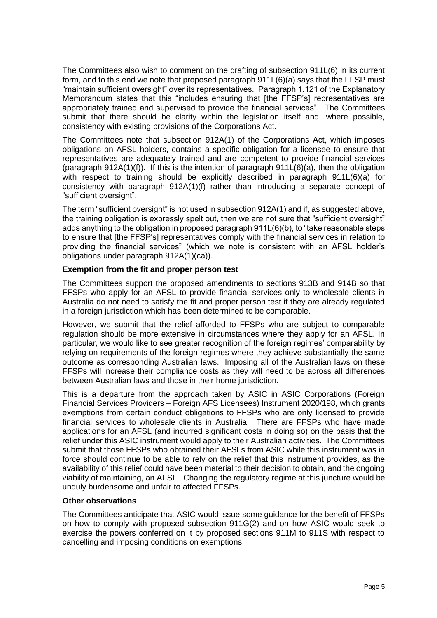The Committees also wish to comment on the drafting of subsection 911L(6) in its current form, and to this end we note that proposed paragraph 911L(6)(a) says that the FFSP must "maintain sufficient oversight" over its representatives. Paragraph 1.121 of the Explanatory Memorandum states that this "includes ensuring that [the FFSP's] representatives are appropriately trained and supervised to provide the financial services". The Committees submit that there should be clarity within the legislation itself and, where possible, consistency with existing provisions of the Corporations Act.

The Committees note that subsection 912A(1) of the Corporations Act, which imposes obligations on AFSL holders, contains a specific obligation for a licensee to ensure that representatives are adequately trained and are competent to provide financial services (paragraph 912A(1)(f)). If this is the intention of paragraph 911L(6)(a), then the obligation with respect to training should be explicitly described in paragraph 911L(6)(a) for consistency with paragraph 912A(1)(f) rather than introducing a separate concept of "sufficient oversight".

The term "sufficient oversight" is not used in subsection 912A(1) and if, as suggested above, the training obligation is expressly spelt out, then we are not sure that "sufficient oversight" adds anything to the obligation in proposed paragraph 911L(6)(b), to "take reasonable steps to ensure that [the FFSP's] representatives comply with the financial services in relation to providing the financial services" (which we note is consistent with an AFSL holder's obligations under paragraph 912A(1)(ca)).

# **Exemption from the fit and proper person test**

The Committees support the proposed amendments to sections 913B and 914B so that FFSPs who apply for an AFSL to provide financial services only to wholesale clients in Australia do not need to satisfy the fit and proper person test if they are already regulated in a foreign jurisdiction which has been determined to be comparable.

However, we submit that the relief afforded to FFSPs who are subject to comparable regulation should be more extensive in circumstances where they apply for an AFSL. In particular, we would like to see greater recognition of the foreign regimes' comparability by relying on requirements of the foreign regimes where they achieve substantially the same outcome as corresponding Australian laws. Imposing all of the Australian laws on these FFSPs will increase their compliance costs as they will need to be across all differences between Australian laws and those in their home jurisdiction.

This is a departure from the approach taken by ASIC in ASIC Corporations (Foreign Financial Services Providers – Foreign AFS Licensees) Instrument 2020/198, which grants exemptions from certain conduct obligations to FFSPs who are only licensed to provide financial services to wholesale clients in Australia. There are FFSPs who have made applications for an AFSL (and incurred significant costs in doing so) on the basis that the relief under this ASIC instrument would apply to their Australian activities. The Committees submit that those FFSPs who obtained their AFSLs from ASIC while this instrument was in force should continue to be able to rely on the relief that this instrument provides, as the availability of this relief could have been material to their decision to obtain, and the ongoing viability of maintaining, an AFSL. Changing the regulatory regime at this juncture would be unduly burdensome and unfair to affected FFSPs.

# **Other observations**

The Committees anticipate that ASIC would issue some guidance for the benefit of FFSPs on how to comply with proposed subsection 911G(2) and on how ASIC would seek to exercise the powers conferred on it by proposed sections 911M to 911S with respect to cancelling and imposing conditions on exemptions.